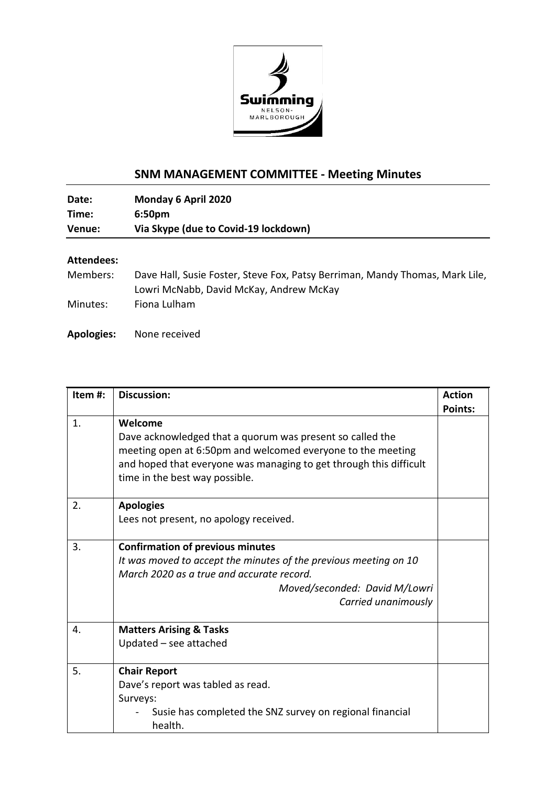

## **SNM MANAGEMENT COMMITTEE - Meeting Minutes**

**Date: Monday 6 April 2020 Time: 6:50pm Venue: Via Skype (due to Covid-19 lockdown)**

## **Attendees:**

| Members: | Dave Hall, Susie Foster, Steve Fox, Patsy Berriman, Mandy Thomas, Mark Lile, |
|----------|------------------------------------------------------------------------------|
|          | Lowri McNabb, David McKay, Andrew McKay                                      |
| Minutes: | Fiona Lulham                                                                 |

**Apologies:** None received

| Item #: | <b>Discussion:</b>                                                 | <b>Action</b>  |
|---------|--------------------------------------------------------------------|----------------|
|         |                                                                    | <b>Points:</b> |
| 1.      | Welcome                                                            |                |
|         | Dave acknowledged that a quorum was present so called the          |                |
|         | meeting open at 6:50pm and welcomed everyone to the meeting        |                |
|         | and hoped that everyone was managing to get through this difficult |                |
|         | time in the best way possible.                                     |                |
| 2.      | <b>Apologies</b>                                                   |                |
|         | Lees not present, no apology received.                             |                |
| 3.      | <b>Confirmation of previous minutes</b>                            |                |
|         | It was moved to accept the minutes of the previous meeting on 10   |                |
|         | March 2020 as a true and accurate record.                          |                |
|         | Moved/seconded: David M/Lowri                                      |                |
|         | Carried unanimously                                                |                |
| 4.      | <b>Matters Arising &amp; Tasks</b>                                 |                |
|         | Updated $-$ see attached                                           |                |
| 5.      | <b>Chair Report</b>                                                |                |
|         | Dave's report was tabled as read.                                  |                |
|         | Surveys:                                                           |                |
|         | Susie has completed the SNZ survey on regional financial           |                |
|         | health.                                                            |                |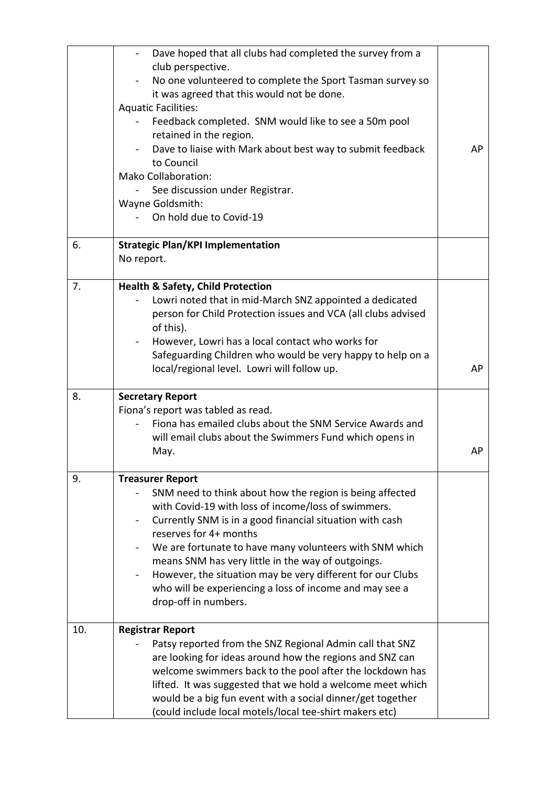|     | Dave hoped that all clubs had completed the survey from a<br>$\overline{\phantom{0}}$<br>club perspective.<br>No one volunteered to complete the Sport Tasman survey so<br>it was agreed that this would not be done.<br><b>Aquatic Facilities:</b><br>Feedback completed. SNM would like to see a 50m pool<br>retained in the region.<br>Dave to liaise with Mark about best way to submit feedback<br>to Council<br><b>Mako Collaboration:</b><br>See discussion under Registrar.<br>Wayne Goldsmith:<br>On hold due to Covid-19 | AP |
|-----|------------------------------------------------------------------------------------------------------------------------------------------------------------------------------------------------------------------------------------------------------------------------------------------------------------------------------------------------------------------------------------------------------------------------------------------------------------------------------------------------------------------------------------|----|
| 6.  | <b>Strategic Plan/KPI Implementation</b><br>No report.                                                                                                                                                                                                                                                                                                                                                                                                                                                                             |    |
| 7.  | <b>Health &amp; Safety, Child Protection</b><br>Lowri noted that in mid-March SNZ appointed a dedicated<br>person for Child Protection issues and VCA (all clubs advised<br>of this).<br>However, Lowri has a local contact who works for<br>Safeguarding Children who would be very happy to help on a<br>local/regional level. Lowri will follow up.                                                                                                                                                                             | AP |
| 8.  | <b>Secretary Report</b><br>Fiona's report was tabled as read.<br>Fiona has emailed clubs about the SNM Service Awards and<br>will email clubs about the Swimmers Fund which opens in<br>May.                                                                                                                                                                                                                                                                                                                                       | АP |
| 9.  | <b>Treasurer Report</b><br>SNM need to think about how the region is being affected<br>with Covid-19 with loss of income/loss of swimmers.<br>Currently SNM is in a good financial situation with cash<br>reserves for 4+ months<br>We are fortunate to have many volunteers with SNM which<br>means SNM has very little in the way of outgoings.<br>However, the situation may be very different for our Clubs<br>who will be experiencing a loss of income and may see a<br>drop-off in numbers.                                 |    |
| 10. | <b>Registrar Report</b><br>Patsy reported from the SNZ Regional Admin call that SNZ<br>are looking for ideas around how the regions and SNZ can<br>welcome swimmers back to the pool after the lockdown has<br>lifted. It was suggested that we hold a welcome meet which<br>would be a big fun event with a social dinner/get together<br>(could include local motels/local tee-shirt makers etc)                                                                                                                                 |    |